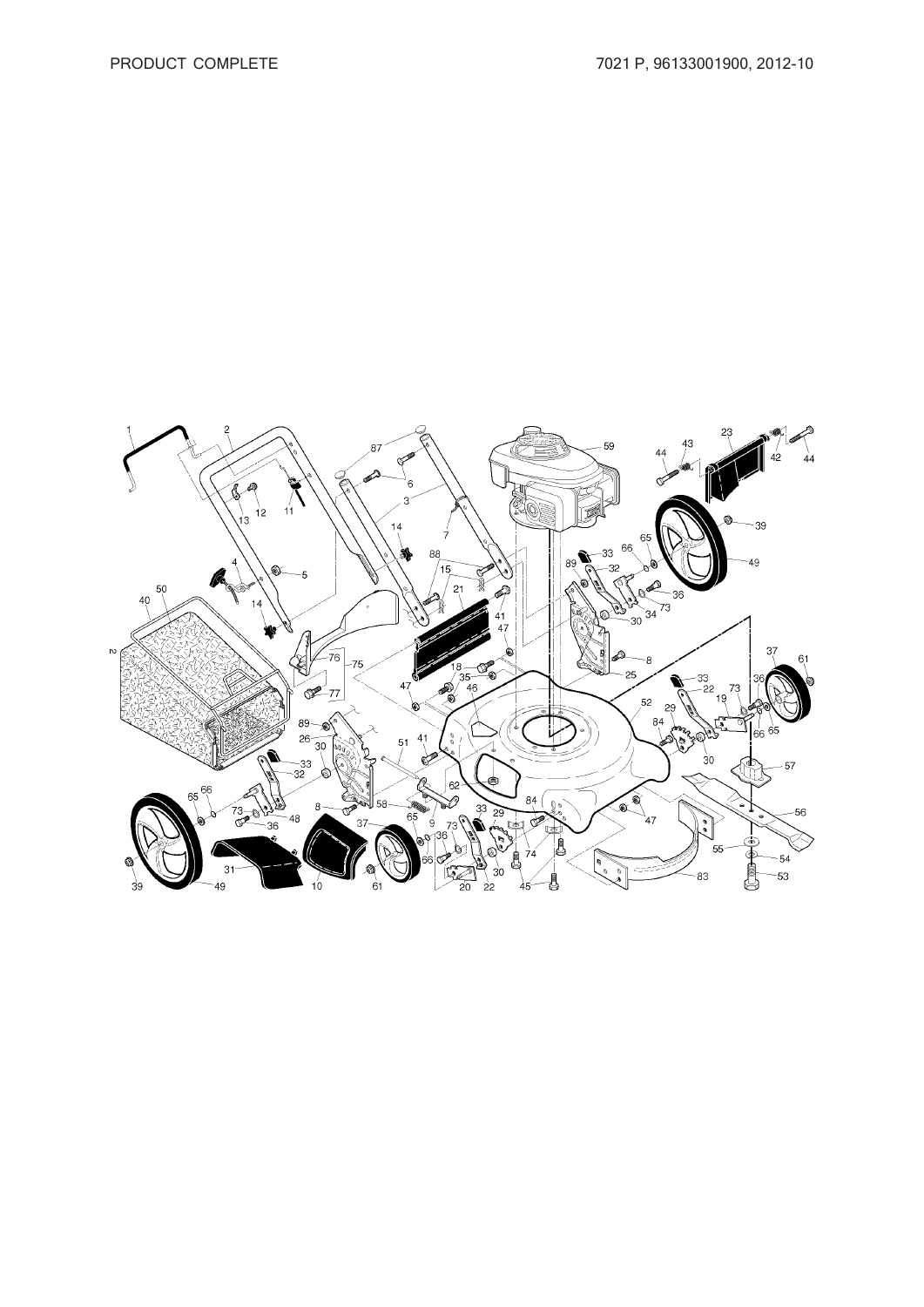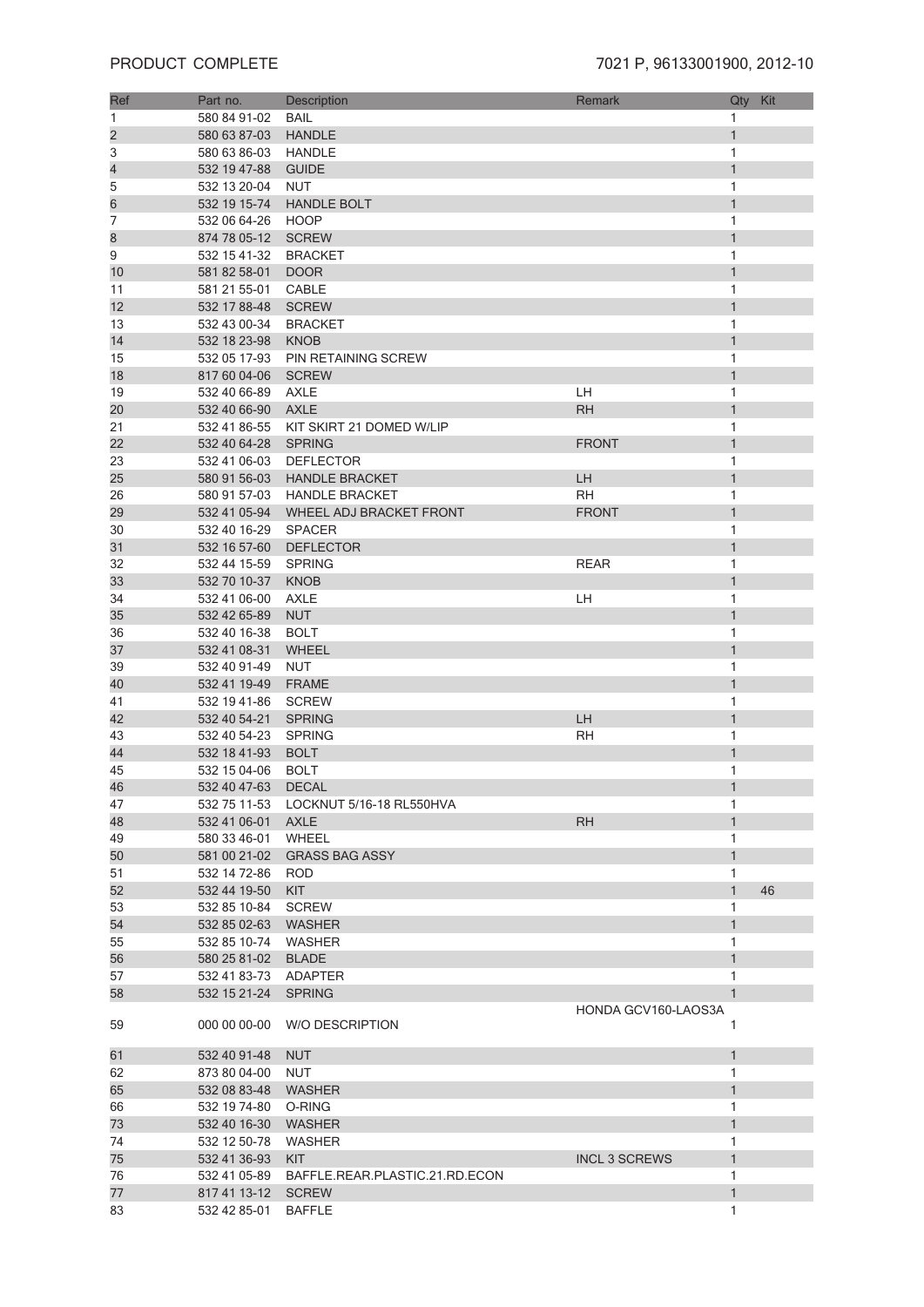| Ref            | Part no.            | Description                    | Remark               | Qty          | Kit |
|----------------|---------------------|--------------------------------|----------------------|--------------|-----|
| 1              | 580 84 91-02        | <b>BAIL</b>                    |                      | 1            |     |
| $\overline{c}$ | 580 63 87-03        | <b>HANDLE</b>                  |                      | $\mathbf{1}$ |     |
| 3              | 580 63 86-03        | HANDLE                         |                      | 1            |     |
| 4              | 532 19 47-88        | <b>GUIDE</b>                   |                      | $\mathbf{1}$ |     |
|                |                     |                                |                      |              |     |
| 5              | 532 13 20-04        | <b>NUT</b>                     |                      | 1            |     |
| 6              | 532 19 15-74        | <b>HANDLE BOLT</b>             |                      | $\mathbf{1}$ |     |
| 7              | 532 06 64-26        | <b>HOOP</b>                    |                      | 1            |     |
| 8              | 874 78 05-12        | <b>SCREW</b>                   |                      | $\mathbf{1}$ |     |
| 9              | 532 15 41-32        | <b>BRACKET</b>                 |                      | 1            |     |
| 10             | 581 82 58-01        | <b>DOOR</b>                    |                      | $\mathbf{1}$ |     |
| 11             | 581 21 55-01        | CABLE                          |                      | 1            |     |
| 12             | 532 17 88-48        | <b>SCREW</b>                   |                      | $\mathbf{1}$ |     |
| 13             | 532 43 00-34        | <b>BRACKET</b>                 |                      | 1            |     |
| 14             | 532 18 23-98        | <b>KNOB</b>                    |                      | $\mathbf{1}$ |     |
| 15             | 532 05 17-93        | PIN RETAINING SCREW            |                      | 1            |     |
| 18             | 817 60 04-06        | <b>SCREW</b>                   |                      | $\mathbf{1}$ |     |
| 19             | 532 40 66-89        | <b>AXLE</b>                    | LH                   | 1            |     |
| 20             | 532 40 66-90        | <b>AXLE</b>                    | <b>RH</b>            | $\mathbf{1}$ |     |
| 21             | 532 41 86-55        | KIT SKIRT 21 DOMED W/LIP       |                      | 1            |     |
| 22             | 532 40 64-28        | <b>SPRING</b>                  | <b>FRONT</b>         | $\mathbf{1}$ |     |
| 23             | 532 41 06-03        | <b>DEFLECTOR</b>               |                      | 1            |     |
| 25             | 580 91 56-03        | <b>HANDLE BRACKET</b>          | LH                   | $\mathbf{1}$ |     |
| 26             | 580 91 57-03        | <b>HANDLE BRACKET</b>          | <b>RH</b>            | 1            |     |
| 29             | 532 41 05-94        | WHEEL ADJ BRACKET FRONT        | <b>FRONT</b>         | $\mathbf{1}$ |     |
| 30             | 532 40 16-29        | <b>SPACER</b>                  |                      | 1            |     |
|                |                     | <b>DEFLECTOR</b>               |                      |              |     |
| 31             | 532 16 57-60        |                                |                      | 1            |     |
| 32             | 532 44 15-59        | <b>SPRING</b>                  | <b>REAR</b>          | 1            |     |
| 33             | 532 70 10-37        | <b>KNOB</b>                    |                      | $\mathbf{1}$ |     |
| 34             | 532 41 06-00        | AXLE                           | LH                   | 1            |     |
| 35             | 532 42 65-89        | <b>NUT</b>                     |                      | $\mathbf{1}$ |     |
| 36             | 532 40 16-38        | <b>BOLT</b>                    |                      | 1            |     |
| 37             | 532 41 08-31        | WHEEL                          |                      | $\mathbf{1}$ |     |
| 39             | 532 40 91-49        | NUT                            |                      | 1            |     |
| 40             | 532 41 19-49        | <b>FRAME</b>                   |                      | $\mathbf{1}$ |     |
| 41             | 532 19 41-86        | <b>SCREW</b>                   |                      | 1            |     |
| 42             | 532 40 54-21        | <b>SPRING</b>                  | LH                   | $\mathbf{1}$ |     |
| 43             | 532 40 54-23        | <b>SPRING</b>                  | <b>RH</b>            | 1            |     |
| 44             | 532 18 41-93        | <b>BOLT</b>                    |                      | $\mathbf{1}$ |     |
| 45             | 532 15 04-06        | <b>BOLT</b>                    |                      | 1            |     |
| 46             | 532 40 47-63        | <b>DECAL</b>                   |                      | 1            |     |
| 47             | 532 75 11-53        | LOCKNUT 5/16-18 RL550HVA       |                      | 1            |     |
| 48             | 532 41 06-01        | AXLE                           | <b>RH</b>            | $\mathbf{1}$ |     |
| 49             | 580 33 46-01        | WHEEL                          |                      | 1            |     |
| 50             |                     | 581 00 21-02 GRASS BAG ASSY    |                      | $\mathbf{1}$ |     |
| 51             | 532 14 72-86 ROD    |                                |                      | 1            |     |
| 52             | 532 44 19-50        | <b>KIT</b>                     |                      | $\mathbf{1}$ | 46  |
| 53             | 532 85 10-84        | <b>SCREW</b>                   |                      | 1            |     |
| 54             | 532 85 02-63        | WASHER                         |                      | $\mathbf{1}$ |     |
| 55             | 532 85 10-74        | WASHER                         |                      | 1            |     |
| 56             | 580 25 81-02        | <b>BLADE</b>                   |                      | $\mathbf{1}$ |     |
| 57             | 532 41 83-73        | ADAPTER                        |                      | 1            |     |
| 58             | 532 15 21-24        | <b>SPRING</b>                  |                      | $\mathbf{1}$ |     |
|                |                     |                                | HONDA GCV160-LAOS3A  |              |     |
| 59             | 000 00 00-00        | <b>W/O DESCRIPTION</b>         |                      | 1            |     |
| 61             | 532 40 91-48        | <b>NUT</b>                     |                      | $\mathbf{1}$ |     |
| 62             | 873 80 04-00        | <b>NUT</b>                     |                      | 1            |     |
| 65             | 532 08 83-48 WASHER |                                |                      | $\mathbf{1}$ |     |
| 66             | 532 19 74-80        | O-RING                         |                      | 1            |     |
| 73             | 532 40 16-30        | <b>WASHER</b>                  |                      | $\mathbf{1}$ |     |
| 74             | 532 12 50-78        | <b>WASHER</b>                  |                      | 1            |     |
| 75             | 532 41 36-93        | <b>KIT</b>                     | <b>INCL 3 SCREWS</b> | $\mathbf{1}$ |     |
| 76             | 532 41 05-89        | BAFFLE.REAR.PLASTIC.21.RD.ECON |                      | 1            |     |
| 77             | 817 41 13-12        | <b>SCREW</b>                   |                      | $\mathbf{1}$ |     |
| 83             | 532 42 85-01        | <b>BAFFLE</b>                  |                      | 1            |     |